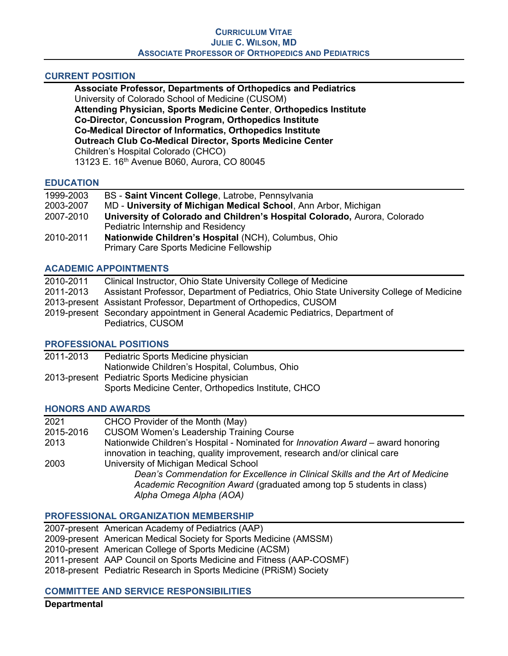## CURRENT POSITION

Associate Professor, Departments of Orthopedics and Pediatrics University of Colorado School of Medicine (CUSOM) Attending Physician, Sports Medicine Center, Orthopedics Institute Co-Director, Concussion Program, Orthopedics Institute Co-Medical Director of Informatics, Orthopedics Institute Outreach Club Co-Medical Director, Sports Medicine Center Children's Hospital Colorado (CHCO) 13123 E. 16th Avenue B060, Aurora, CO 80045

## **EDUCATION**

| 1999-2003 | BS - Saint Vincent College, Latrobe, Pennsylvania                         |
|-----------|---------------------------------------------------------------------------|
| 2003-2007 | MD - University of Michigan Medical School, Ann Arbor, Michigan           |
| 2007-2010 | University of Colorado and Children's Hospital Colorado, Aurora, Colorado |
|           | Pediatric Internship and Residency                                        |
| 2010-2011 | Nationwide Children's Hospital (NCH), Columbus, Ohio                      |
|           | Primary Care Sports Medicine Fellowship                                   |

# ACADEMIC APPOINTMENTS

| 2010-2011 | Clinical Instructor, Ohio State University College of Medicine                           |
|-----------|------------------------------------------------------------------------------------------|
| 2011-2013 | Assistant Professor, Department of Pediatrics, Ohio State University College of Medicine |
|           | 2013-present Assistant Professor, Department of Orthopedics, CUSOM                       |
|           | 2019-present Secondary appointment in General Academic Pediatrics, Department of         |
|           | Pediatrics, CUSOM                                                                        |

## PROFESSIONAL POSITIONS

| 2011-2013 | Pediatric Sports Medicine physician                 |
|-----------|-----------------------------------------------------|
|           | Nationwide Children's Hospital, Columbus, Ohio      |
|           | 2013-present Pediatric Sports Medicine physician    |
|           | Sports Medicine Center, Orthopedics Institute, CHCO |

## HONORS AND AWARDS

| 2021      | CHCO Provider of the Month (May)                                                        |
|-----------|-----------------------------------------------------------------------------------------|
| 2015-2016 | <b>CUSOM Women's Leadership Training Course</b>                                         |
| 2013      | Nationwide Children's Hospital - Nominated for <i>Innovation Award -</i> award honoring |
|           | innovation in teaching, quality improvement, research and/or clinical care              |
| 2003      | University of Michigan Medical School                                                   |
|           | Dean's Commendation for Excellence in Clinical Skills and the Art of Medicine           |
|           | Academic Recognition Award (graduated among top 5 students in class)                    |
|           | Alpha Omega Alpha (AOA)                                                                 |
|           |                                                                                         |

## PROFESSIONAL ORGANIZATION MEMBERSHIP

| 2007-present American Academy of Pediatrics (AAP)                   |
|---------------------------------------------------------------------|
| 2009-present American Medical Society for Sports Medicine (AMSSM)   |
| 2010-present American College of Sports Medicine (ACSM)             |
| 2011-present AAP Council on Sports Medicine and Fitness (AAP-COSMF) |
| 2018-present Pediatric Research in Sports Medicine (PRISM) Society  |
|                                                                     |

## COMMITTEE AND SERVICE RESPONSIBILITIES

## **Departmental**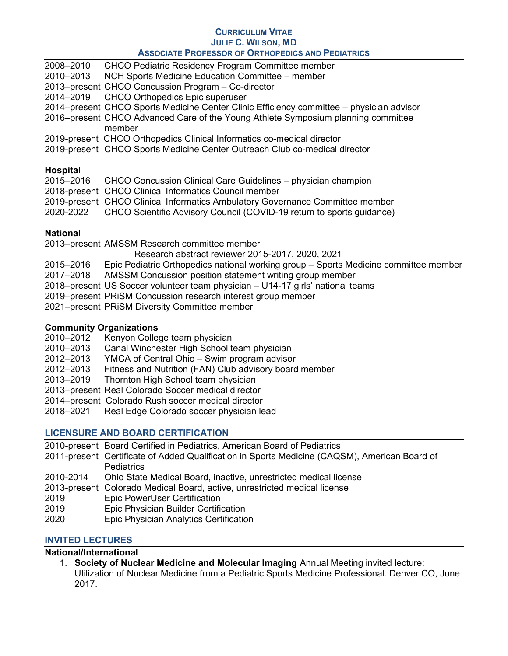|                 | ASSUCIATE PROFESSOR OF URTHOPEDICS AND PEDIATRICS                                        |
|-----------------|------------------------------------------------------------------------------------------|
| 2008-2010       | <b>CHCO Pediatric Residency Program Committee member</b>                                 |
| 2010-2013       | NCH Sports Medicine Education Committee - member                                         |
|                 | 2013–present CHCO Concussion Program - Co-director                                       |
| 2014-2019       | <b>CHCO Orthopedics Epic superuser</b>                                                   |
|                 | 2014-present CHCO Sports Medicine Center Clinic Efficiency committee - physician advisor |
|                 | 2016–present CHCO Advanced Care of the Young Athlete Symposium planning committee        |
|                 | member                                                                                   |
|                 | 2019-present CHCO Orthopedics Clinical Informatics co-medical director                   |
|                 | 2019-present CHCO Sports Medicine Center Outreach Club co-medical director               |
|                 |                                                                                          |
| <b>Hospital</b> |                                                                                          |
| 2015-2016       | CHCO Concussion Clinical Care Guidelines – physician champion                            |
|                 | 2018-present CHCO Clinical Informatics Council member                                    |
|                 | 2019-present CHCO Clinical Informatics Ambulatory Governance Committee member            |

2020-2022 CHCO Scientific Advisory Council (COVID-19 return to sports guidance)

# National

2013–present AMSSM Research committee member

Research abstract reviewer 2015-2017, 2020, 2021

- 2015–2016 Epic Pediatric Orthopedics national working group Sports Medicine committee member
- 2017–2018 AMSSM Concussion position statement writing group member
- 2018–present US Soccer volunteer team physician U14-17 girls' national teams
- 2019–present PRiSM Concussion research interest group member
- 2021–present PRiSM Diversity Committee member

# Community Organizations

- 2010–2012 Kenyon College team physician
- 2010–2013 Canal Winchester High School team physician
- 2012–2013 YMCA of Central Ohio Swim program advisor
- 2012–2013 Fitness and Nutrition (FAN) Club advisory board member
- 2013–2019 Thornton High School team physician
- 2013–present Real Colorado Soccer medical director
- 2014–present Colorado Rush soccer medical director
- 2018–2021 Real Edge Colorado soccer physician lead

# LICENSURE AND BOARD CERTIFICATION

- 2010-present Board Certified in Pediatrics, American Board of Pediatrics 2011-present Certificate of Added Qualification in Sports Medicine (CAQSM), American Board of **Pediatrics** 2010-2014 Ohio State Medical Board, inactive, unrestricted medical license 2013-present Colorado Medical Board, active, unrestricted medical license 2019 Epic PowerUser Certification 2019 Epic Physician Builder Certification
- 2020 Epic Physician Analytics Certification

# INVITED LECTURES

## National/International

1. Society of Nuclear Medicine and Molecular Imaging Annual Meeting invited lecture: Utilization of Nuclear Medicine from a Pediatric Sports Medicine Professional. Denver CO, June 2017.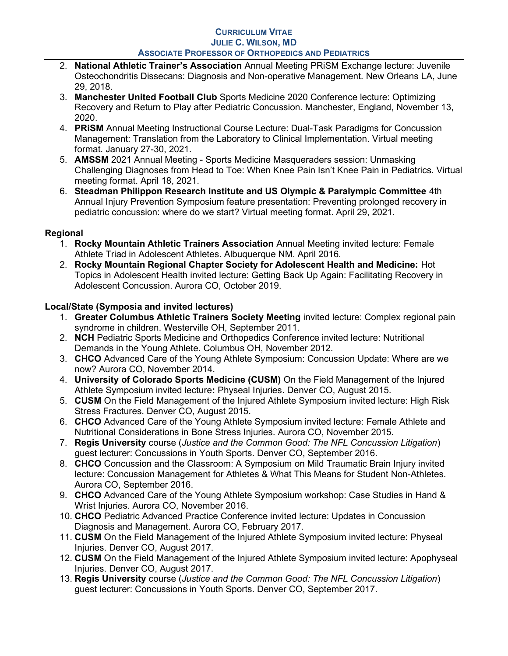- 2. National Athletic Trainer's Association Annual Meeting PRiSM Exchange lecture: Juvenile Osteochondritis Dissecans: Diagnosis and Non-operative Management. New Orleans LA, June 29, 2018.
- 3. Manchester United Football Club Sports Medicine 2020 Conference lecture: Optimizing Recovery and Return to Play after Pediatric Concussion. Manchester, England, November 13, 2020.
- 4. PRiSM Annual Meeting Instructional Course Lecture: Dual-Task Paradigms for Concussion Management: Translation from the Laboratory to Clinical Implementation. Virtual meeting format. January 27-30, 2021.
- 5. AMSSM 2021 Annual Meeting Sports Medicine Masqueraders session: Unmasking Challenging Diagnoses from Head to Toe: When Knee Pain Isn't Knee Pain in Pediatrics. Virtual meeting format. April 18, 2021.
- 6. Steadman Philippon Research Institute and US Olympic & Paralympic Committee 4th Annual Injury Prevention Symposium feature presentation: Preventing prolonged recovery in pediatric concussion: where do we start? Virtual meeting format. April 29, 2021.

# Regional

- 1. Rocky Mountain Athletic Trainers Association Annual Meeting invited lecture: Female Athlete Triad in Adolescent Athletes. Albuquerque NM. April 2016.
- 2. Rocky Mountain Regional Chapter Society for Adolescent Health and Medicine: Hot Topics in Adolescent Health invited lecture: Getting Back Up Again: Facilitating Recovery in Adolescent Concussion. Aurora CO, October 2019.

# Local/State (Symposia and invited lectures)

- 1. Greater Columbus Athletic Trainers Society Meeting invited lecture: Complex regional pain syndrome in children. Westerville OH, September 2011.
- 2. NCH Pediatric Sports Medicine and Orthopedics Conference invited lecture: Nutritional Demands in the Young Athlete. Columbus OH, November 2012.
- 3. CHCO Advanced Care of the Young Athlete Symposium: Concussion Update: Where are we now? Aurora CO, November 2014.
- 4. University of Colorado Sports Medicine (CUSM) On the Field Management of the Injured Athlete Symposium invited lecture: Physeal Injuries. Denver CO, August 2015.
- 5. CUSM On the Field Management of the Injured Athlete Symposium invited lecture: High Risk Stress Fractures. Denver CO, August 2015.
- 6. CHCO Advanced Care of the Young Athlete Symposium invited lecture: Female Athlete and Nutritional Considerations in Bone Stress Injuries. Aurora CO, November 2015.
- 7. Regis University course (Justice and the Common Good: The NFL Concussion Litigation) guest lecturer: Concussions in Youth Sports. Denver CO, September 2016.
- 8. CHCO Concussion and the Classroom: A Symposium on Mild Traumatic Brain Injury invited lecture: Concussion Management for Athletes & What This Means for Student Non-Athletes. Aurora CO, September 2016.
- 9. CHCO Advanced Care of the Young Athlete Symposium workshop: Case Studies in Hand & Wrist Injuries. Aurora CO, November 2016.
- 10. CHCO Pediatric Advanced Practice Conference invited lecture: Updates in Concussion Diagnosis and Management. Aurora CO, February 2017.
- 11. CUSM On the Field Management of the Injured Athlete Symposium invited lecture: Physeal Injuries. Denver CO, August 2017.
- 12. CUSM On the Field Management of the Injured Athlete Symposium invited lecture: Apophyseal Injuries. Denver CO, August 2017.
- 13. Regis University course (Justice and the Common Good: The NFL Concussion Litigation) guest lecturer: Concussions in Youth Sports. Denver CO, September 2017.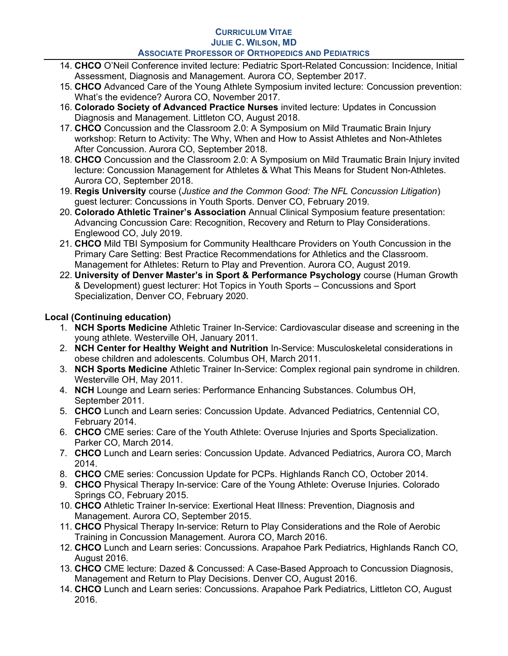- 14. CHCO O'Neil Conference invited lecture: Pediatric Sport-Related Concussion: Incidence, Initial Assessment, Diagnosis and Management. Aurora CO, September 2017.
- 15. CHCO Advanced Care of the Young Athlete Symposium invited lecture: Concussion prevention: What's the evidence? Aurora CO, November 2017.
- 16. Colorado Society of Advanced Practice Nurses invited lecture: Updates in Concussion Diagnosis and Management. Littleton CO, August 2018.
- 17. CHCO Concussion and the Classroom 2.0: A Symposium on Mild Traumatic Brain Injury workshop: Return to Activity: The Why, When and How to Assist Athletes and Non-Athletes After Concussion. Aurora CO, September 2018.
- 18. CHCO Concussion and the Classroom 2.0: A Symposium on Mild Traumatic Brain Injury invited lecture: Concussion Management for Athletes & What This Means for Student Non-Athletes. Aurora CO, September 2018.
- 19. Regis University course (Justice and the Common Good: The NFL Concussion Litigation) guest lecturer: Concussions in Youth Sports. Denver CO, February 2019.
- 20. Colorado Athletic Trainer's Association Annual Clinical Symposium feature presentation: Advancing Concussion Care: Recognition, Recovery and Return to Play Considerations. Englewood CO, July 2019.
- 21. CHCO Mild TBI Symposium for Community Healthcare Providers on Youth Concussion in the Primary Care Setting: Best Practice Recommendations for Athletics and the Classroom. Management for Athletes: Return to Play and Prevention. Aurora CO, August 2019.
- 22. University of Denver Master's in Sport & Performance Psychology course (Human Growth & Development) guest lecturer: Hot Topics in Youth Sports – Concussions and Sport Specialization, Denver CO, February 2020.

# Local (Continuing education)

- 1. NCH Sports Medicine Athletic Trainer In-Service: Cardiovascular disease and screening in the young athlete. Westerville OH, January 2011.
- 2. NCH Center for Healthy Weight and Nutrition In-Service: Musculoskeletal considerations in obese children and adolescents. Columbus OH, March 2011.
- 3. NCH Sports Medicine Athletic Trainer In-Service: Complex regional pain syndrome in children. Westerville OH, May 2011.
- 4. NCH Lounge and Learn series: Performance Enhancing Substances. Columbus OH, September 2011.
- 5. CHCO Lunch and Learn series: Concussion Update. Advanced Pediatrics, Centennial CO, February 2014.
- 6. CHCO CME series: Care of the Youth Athlete: Overuse Injuries and Sports Specialization. Parker CO, March 2014.
- 7. CHCO Lunch and Learn series: Concussion Update. Advanced Pediatrics, Aurora CO, March 2014.
- 8. CHCO CME series: Concussion Update for PCPs. Highlands Ranch CO, October 2014.
- 9. CHCO Physical Therapy In-service: Care of the Young Athlete: Overuse Injuries. Colorado Springs CO, February 2015.
- 10. CHCO Athletic Trainer In-service: Exertional Heat Illness: Prevention, Diagnosis and Management. Aurora CO, September 2015.
- 11. CHCO Physical Therapy In-service: Return to Play Considerations and the Role of Aerobic Training in Concussion Management. Aurora CO, March 2016.
- 12. CHCO Lunch and Learn series: Concussions. Arapahoe Park Pediatrics, Highlands Ranch CO, August 2016.
- 13. CHCO CME lecture: Dazed & Concussed: A Case-Based Approach to Concussion Diagnosis, Management and Return to Play Decisions. Denver CO, August 2016.
- 14. CHCO Lunch and Learn series: Concussions. Arapahoe Park Pediatrics, Littleton CO, August 2016.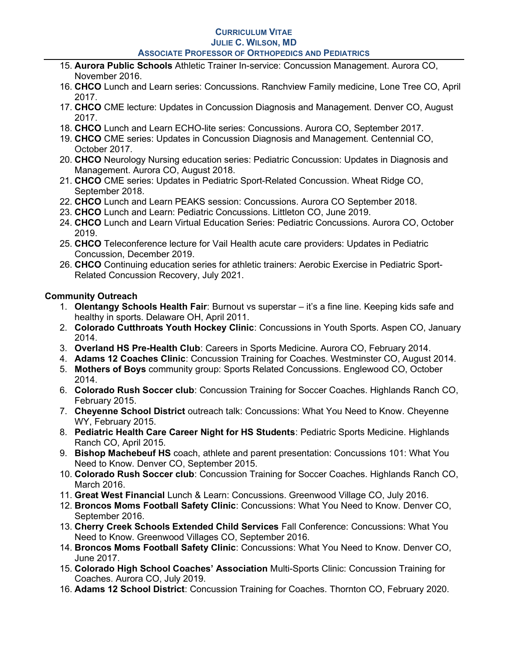- 15. Aurora Public Schools Athletic Trainer In-service: Concussion Management. Aurora CO, November 2016.
- 16. CHCO Lunch and Learn series: Concussions. Ranchview Family medicine, Lone Tree CO, April 2017.
- 17. CHCO CME lecture: Updates in Concussion Diagnosis and Management. Denver CO, August 2017.
- 18. CHCO Lunch and Learn ECHO-lite series: Concussions. Aurora CO, September 2017.
- 19. CHCO CME series: Updates in Concussion Diagnosis and Management. Centennial CO, October 2017.
- 20. CHCO Neurology Nursing education series: Pediatric Concussion: Updates in Diagnosis and Management. Aurora CO, August 2018.
- 21. CHCO CME series: Updates in Pediatric Sport-Related Concussion. Wheat Ridge CO, September 2018.
- 22. CHCO Lunch and Learn PEAKS session: Concussions. Aurora CO September 2018.
- 23. CHCO Lunch and Learn: Pediatric Concussions. Littleton CO, June 2019.
- 24. CHCO Lunch and Learn Virtual Education Series: Pediatric Concussions. Aurora CO, October 2019.
- 25. CHCO Teleconference lecture for Vail Health acute care providers: Updates in Pediatric Concussion, December 2019.
- 26. CHCO Continuing education series for athletic trainers: Aerobic Exercise in Pediatric Sport-Related Concussion Recovery, July 2021.

# Community Outreach

- 1. **Olentangy Schools Health Fair**: Burnout vs superstar it's a fine line. Keeping kids safe and healthy in sports. Delaware OH, April 2011.
- 2. Colorado Cutthroats Youth Hockey Clinic: Concussions in Youth Sports. Aspen CO, January 2014.
- 3. Overland HS Pre-Health Club: Careers in Sports Medicine. Aurora CO, February 2014.
- 4. Adams 12 Coaches Clinic: Concussion Training for Coaches. Westminster CO, August 2014.
- 5. Mothers of Boys community group: Sports Related Concussions. Englewood CO, October 2014.
- 6. Colorado Rush Soccer club: Concussion Training for Soccer Coaches. Highlands Ranch CO, February 2015.
- 7. Cheyenne School District outreach talk: Concussions: What You Need to Know. Cheyenne WY, February 2015.
- 8. Pediatric Health Care Career Night for HS Students: Pediatric Sports Medicine. Highlands Ranch CO, April 2015.
- 9. Bishop Machebeuf HS coach, athlete and parent presentation: Concussions 101: What You Need to Know. Denver CO, September 2015.
- 10. Colorado Rush Soccer club: Concussion Training for Soccer Coaches. Highlands Ranch CO, March 2016.
- 11. Great West Financial Lunch & Learn: Concussions. Greenwood Village CO, July 2016.
- 12. Broncos Moms Football Safety Clinic: Concussions: What You Need to Know. Denver CO, September 2016.
- 13. Cherry Creek Schools Extended Child Services Fall Conference: Concussions: What You Need to Know. Greenwood Villages CO, September 2016.
- 14. Broncos Moms Football Safety Clinic: Concussions: What You Need to Know. Denver CO, June 2017.
- 15. Colorado High School Coaches' Association Multi-Sports Clinic: Concussion Training for Coaches. Aurora CO, July 2019.
- 16. Adams 12 School District: Concussion Training for Coaches. Thornton CO, February 2020.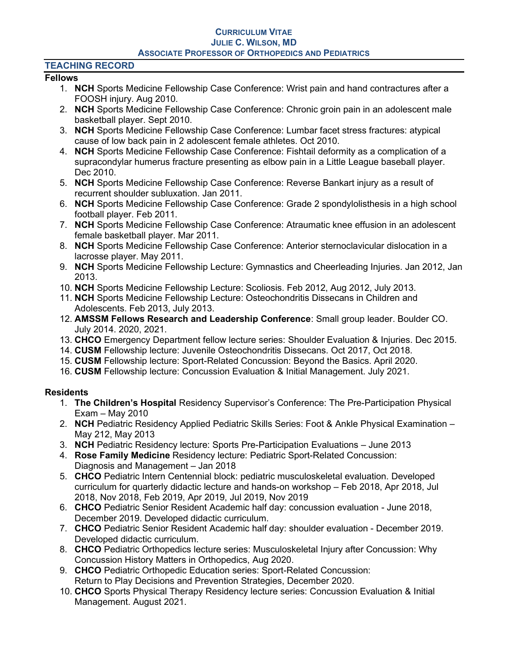## TEACHING RECORD

## Fellows

- 1. **NCH** Sports Medicine Fellowship Case Conference: Wrist pain and hand contractures after a FOOSH injury. Aug 2010.
- 2. **NCH** Sports Medicine Fellowship Case Conference: Chronic groin pain in an adolescent male basketball player. Sept 2010.
- 3. NCH Sports Medicine Fellowship Case Conference: Lumbar facet stress fractures: atypical cause of low back pain in 2 adolescent female athletes. Oct 2010.
- 4. NCH Sports Medicine Fellowship Case Conference: Fishtail deformity as a complication of a supracondylar humerus fracture presenting as elbow pain in a Little League baseball player. Dec 2010.
- 5. NCH Sports Medicine Fellowship Case Conference: Reverse Bankart injury as a result of recurrent shoulder subluxation. Jan 2011.
- 6. NCH Sports Medicine Fellowship Case Conference: Grade 2 spondylolisthesis in a high school football player. Feb 2011.
- 7. NCH Sports Medicine Fellowship Case Conference: Atraumatic knee effusion in an adolescent female basketball player. Mar 2011.
- 8. NCH Sports Medicine Fellowship Case Conference: Anterior sternoclavicular dislocation in a lacrosse player. May 2011.
- 9. NCH Sports Medicine Fellowship Lecture: Gymnastics and Cheerleading Injuries. Jan 2012, Jan 2013.
- 10. NCH Sports Medicine Fellowship Lecture: Scoliosis. Feb 2012, Aug 2012, July 2013.
- 11. NCH Sports Medicine Fellowship Lecture: Osteochondritis Dissecans in Children and Adolescents. Feb 2013, July 2013.
- 12. AMSSM Fellows Research and Leadership Conference: Small group leader. Boulder CO. July 2014. 2020, 2021.
- 13. CHCO Emergency Department fellow lecture series: Shoulder Evaluation & Injuries. Dec 2015.
- 14. CUSM Fellowship lecture: Juvenile Osteochondritis Dissecans. Oct 2017, Oct 2018.
- 15. CUSM Fellowship lecture: Sport-Related Concussion: Beyond the Basics. April 2020.
- 16. CUSM Fellowship lecture: Concussion Evaluation & Initial Management. July 2021.

# **Residents**

- 1. The Children's Hospital Residency Supervisor's Conference: The Pre-Participation Physical Exam – May 2010
- 2. NCH Pediatric Residency Applied Pediatric Skills Series: Foot & Ankle Physical Examination May 212, May 2013
- 3. NCH Pediatric Residency lecture: Sports Pre-Participation Evaluations June 2013
- 4. Rose Family Medicine Residency lecture: Pediatric Sport-Related Concussion: Diagnosis and Management – Jan 2018
- 5. CHCO Pediatric Intern Centennial block: pediatric musculoskeletal evaluation. Developed curriculum for quarterly didactic lecture and hands-on workshop – Feb 2018, Apr 2018, Jul 2018, Nov 2018, Feb 2019, Apr 2019, Jul 2019, Nov 2019
- 6. CHCO Pediatric Senior Resident Academic half day: concussion evaluation June 2018, December 2019. Developed didactic curriculum.
- 7. CHCO Pediatric Senior Resident Academic half day: shoulder evaluation December 2019. Developed didactic curriculum.
- 8. CHCO Pediatric Orthopedics lecture series: Musculoskeletal Injury after Concussion: Why Concussion History Matters in Orthopedics, Aug 2020.
- 9. CHCO Pediatric Orthopedic Education series: Sport-Related Concussion: Return to Play Decisions and Prevention Strategies, December 2020.
- 10. CHCO Sports Physical Therapy Residency lecture series: Concussion Evaluation & Initial Management. August 2021.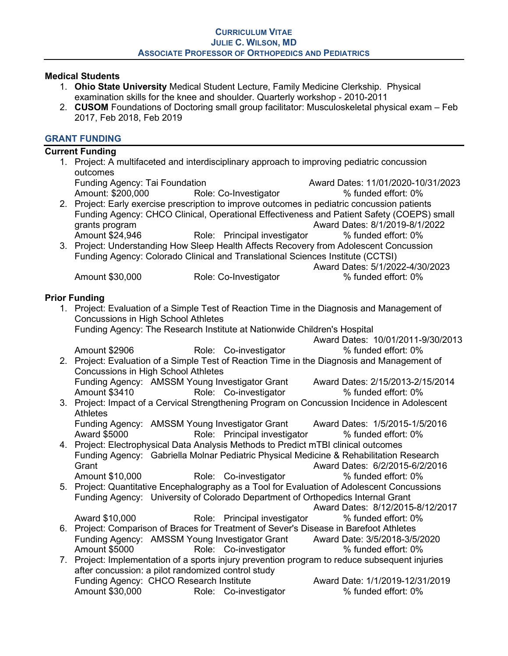## Medical Students

- 1. Ohio State University Medical Student Lecture, Family Medicine Clerkship. Physical examination skills for the knee and shoulder. Quarterly workshop - 2010-2011
- 2. CUSOM Foundations of Doctoring small group facilitator: Musculoskeletal physical exam Feb 2017, Feb 2018, Feb 2019

## GRANT FUNDING

## Current Funding 1. Project: A multifaceted and interdisciplinary approach to improving pediatric concussion outcomes Funding Agency: Tai Foundation Award Dates: 11/01/2020-10/31/2023 Amount: \$200,000 Role: Co-Investigator  $\%$  funded effort: 0% 2. Project: Early exercise prescription to improve outcomes in pediatric concussion patients Funding Agency: CHCO Clinical, Operational Effectiveness and Patient Safety (COEPS) small grants program and the state of the contract of the Award Dates: 8/1/2019-8/1/2022 Amount \$24,946 **Role:** Principal investigator % funded effort: 0% 3. Project: Understanding How Sleep Health Affects Recovery from Adolescent Concussion Funding Agency: Colorado Clinical and Translational Sciences Institute (CCTSI) Award Dates: 5/1/2022-4/30/2023 Amount \$30,000 **Role: Co-Investigator** % funded effort: 0% Prior Funding 1. Project: Evaluation of a Simple Test of Reaction Time in the Diagnosis and Management of Concussions in High School Athletes Funding Agency: The Research Institute at Nationwide Children's Hospital Award Dates: 10/01/2011-9/30/2013 Amount \$2906 Role: Co-investigator % funded effort: 0% 2. Project: Evaluation of a Simple Test of Reaction Time in the Diagnosis and Management of Concussions in High School Athletes Funding Agency: AMSSM Young Investigator Grant Award Dates: 2/15/2013-2/15/2014 Amount \$3410 **Role:** Co-investigator % funded effort: 0% 3. Project: Impact of a Cervical Strengthening Program on Concussion Incidence in Adolescent Athletes Funding Agency: AMSSM Young Investigator Grant Award Dates: 1/5/2015-1/5/2016 Award \$5000 **Role:** Principal investigator but when the flood effort: 0% 4. Project: Electrophysical Data Analysis Methods to Predict mTBI clinical outcomes Funding Agency: Gabriella Molnar Pediatric Physical Medicine & Rehabilitation Research Grant Award Dates: 6/2/2015-6/2/2016 Amount \$10,000 **Role:** Co-investigator **120 %** funded effort: 0% 5. Project: Quantitative Encephalography as a Tool for Evaluation of Adolescent Concussions Funding Agency: University of Colorado Department of Orthopedics Internal Grant Award Dates: 8/12/2015-8/12/2017 Award \$10,000 **Role:** Principal investigator % funded effort: 0% 6. Project: Comparison of Braces for Treatment of Sever's Disease in Barefoot Athletes Funding Agency: AMSSM Young Investigator Grant Award Date: 3/5/2018-3/5/2020 Amount \$5000 **Role:** Co-investigator **120 %** funded effort: 0% 7. Project: Implementation of a sports injury prevention program to reduce subsequent injuries after concussion: a pilot randomized control study Funding Agency: CHCO Research Institute **Award Date: 1/1/2019-12/31/2019** Amount \$30,000 Role: Co-investigator % funded effort: 0%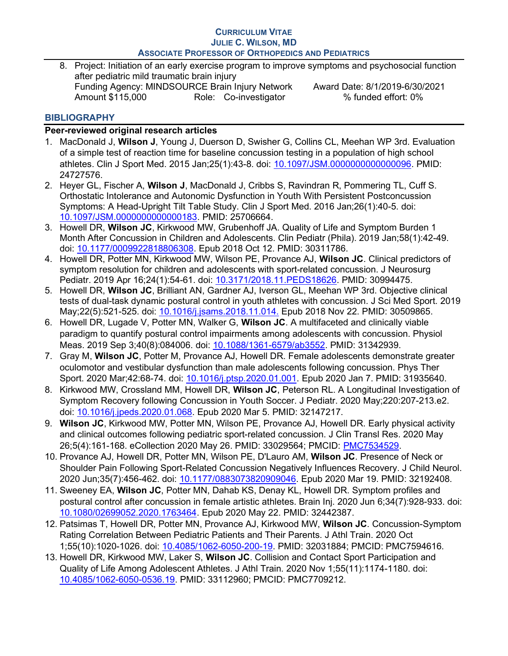8. Project: Initiation of an early exercise program to improve symptoms and psychosocial function after pediatric mild traumatic brain injury Funding Agency: MINDSOURCE Brain Injury Network Award Date: 8/1/2019-6/30/2021 Amount \$115,000 Role: Co-investigator % funded effort: 0%

# **BIBLIOGRAPHY**

# Peer-reviewed original research articles

- 1. MacDonald J, Wilson J, Young J, Duerson D, Swisher G, Collins CL, Meehan WP 3rd. Evaluation of a simple test of reaction time for baseline concussion testing in a population of high school athletes. Clin J Sport Med. 2015 Jan;25(1):43-8. doi: 10.1097/JSM.0000000000000096. PMID: 24727576.
- 2. Hever GL, Fischer A, Wilson J, MacDonald J, Cribbs S, Ravindran R, Pommering TL, Cuff S, Orthostatic Intolerance and Autonomic Dysfunction in Youth With Persistent Postconcussion Symptoms: A Head-Upright Tilt Table Study. Clin J Sport Med. 2016 Jan;26(1):40-5. doi: 10.1097/JSM.0000000000000183. PMID: 25706664.
- 3. Howell DR, Wilson JC, Kirkwood MW, Grubenhoff JA. Quality of Life and Symptom Burden 1 Month After Concussion in Children and Adolescents. Clin Pediatr (Phila). 2019 Jan;58(1):42-49. doi: 10.1177/0009922818806308. Epub 2018 Oct 12. PMID: 30311786.
- 4. Howell DR, Potter MN, Kirkwood MW, Wilson PE, Provance AJ, Wilson JC. Clinical predictors of symptom resolution for children and adolescents with sport-related concussion. J Neurosurg Pediatr. 2019 Apr 16;24(1):54-61. doi: 10.3171/2018.11.PEDS18626. PMID: 30994475.
- 5. Howell DR, Wilson JC, Brilliant AN, Gardner AJ, Iverson GL, Meehan WP 3rd. Objective clinical tests of dual-task dynamic postural control in youth athletes with concussion. J Sci Med Sport. 2019 May;22(5):521-525. doi: 10.1016/j.jsams.2018.11.014. Epub 2018 Nov 22. PMID: 30509865.
- 6. Howell DR, Lugade V, Potter MN, Walker G, Wilson JC. A multifaceted and clinically viable paradigm to quantify postural control impairments among adolescents with concussion. Physiol Meas. 2019 Sep 3;40(8):084006. doi: 10.1088/1361-6579/ab3552. PMID: 31342939.
- 7. Gray M, Wilson JC, Potter M, Provance AJ, Howell DR. Female adolescents demonstrate greater oculomotor and vestibular dysfunction than male adolescents following concussion. Phys Ther Sport. 2020 Mar;42:68-74. doi: 10.1016/j.ptsp.2020.01.001. Epub 2020 Jan 7. PMID: 31935640.
- 8. Kirkwood MW, Crossland MM, Howell DR, Wilson JC, Peterson RL. A Longitudinal Investigation of Symptom Recovery following Concussion in Youth Soccer. J Pediatr. 2020 May;220:207-213.e2. doi: 10.1016/j.jpeds.2020.01.068. Epub 2020 Mar 5. PMID: 32147217.
- 9. Wilson JC, Kirkwood MW, Potter MN, Wilson PE, Provance AJ, Howell DR. Early physical activity and clinical outcomes following pediatric sport-related concussion. J Clin Transl Res. 2020 May 26;5(4):161-168. eCollection 2020 May 26. PMID: 33029564; PMCID: PMC7534529.
- 10. Provance AJ, Howell DR, Potter MN, Wilson PE, D'Lauro AM, Wilson JC. Presence of Neck or Shoulder Pain Following Sport-Related Concussion Negatively Influences Recovery. J Child Neurol. 2020 Jun;35(7):456-462. doi: 10.1177/0883073820909046. Epub 2020 Mar 19. PMID: 32192408.
- 11. Sweeney EA, Wilson JC, Potter MN, Dahab KS, Denay KL, Howell DR. Symptom profiles and postural control after concussion in female artistic athletes. Brain Inj. 2020 Jun 6;34(7):928-933. doi: 10.1080/02699052.2020.1763464. Epub 2020 May 22. PMID: 32442387.
- 12. Patsimas T, Howell DR, Potter MN, Provance AJ, Kirkwood MW, Wilson JC. Concussion-Symptom Rating Correlation Between Pediatric Patients and Their Parents. J Athl Train. 2020 Oct 1;55(10):1020-1026. doi: 10.4085/1062-6050-200-19. PMID: 32031884; PMCID: PMC7594616.
- 13. Howell DR, Kirkwood MW, Laker S, Wilson JC, Collision and Contact Sport Participation and Quality of Life Among Adolescent Athletes. J Athl Train. 2020 Nov 1;55(11):1174-1180. doi: 10.4085/1062-6050-0536.19. PMID: 33112960; PMCID: PMC7709212.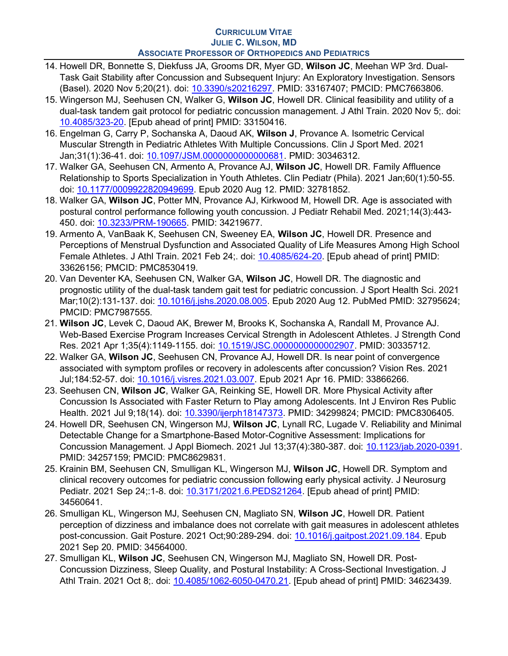- 14. Howell DR, Bonnette S, Diekfuss JA, Grooms DR, Myer GD, Wilson JC, Meehan WP 3rd. Dual-Task Gait Stability after Concussion and Subsequent Injury: An Exploratory Investigation. Sensors (Basel). 2020 Nov 5;20(21). doi: 10.3390/s20216297. PMID: 33167407; PMCID: PMC7663806.
- 15. Wingerson MJ, Seehusen CN, Walker G, Wilson JC, Howell DR. Clinical feasibility and utility of a dual-task tandem gait protocol for pediatric concussion management. J Athl Train. 2020 Nov 5;. doi: 10.4085/323-20. [Epub ahead of print] PMID: 33150416.
- 16. Engelman G, Carry P, Sochanska A, Daoud AK, Wilson J, Provance A. Isometric Cervical Muscular Strength in Pediatric Athletes With Multiple Concussions. Clin J Sport Med. 2021 Jan;31(1):36-41. doi: 10.1097/JSM.0000000000000681. PMID: 30346312.
- 17. Walker GA, Seehusen CN, Armento A, Provance AJ, Wilson JC, Howell DR. Family Affluence Relationship to Sports Specialization in Youth Athletes. Clin Pediatr (Phila). 2021 Jan;60(1):50-55. doi: 10.1177/0009922820949699. Epub 2020 Aug 12. PMID: 32781852.
- 18. Walker GA, Wilson JC, Potter MN, Provance AJ, Kirkwood M, Howell DR. Age is associated with postural control performance following youth concussion. J Pediatr Rehabil Med. 2021;14(3):443- 450. doi: 10.3233/PRM-190665. PMID: 34219677.
- 19. Armento A, VanBaak K, Seehusen CN, Sweeney EA, Wilson JC, Howell DR. Presence and Perceptions of Menstrual Dysfunction and Associated Quality of Life Measures Among High School Female Athletes. J Athl Train. 2021 Feb 24;. doi: 10.4085/624-20. [Epub ahead of print] PMID: 33626156; PMCID: PMC8530419.
- 20. Van Deventer KA, Seehusen CN, Walker GA, Wilson JC, Howell DR. The diagnostic and prognostic utility of the dual-task tandem gait test for pediatric concussion. J Sport Health Sci. 2021 Mar;10(2):131-137. doi: 10.1016/j.jshs.2020.08.005. Epub 2020 Aug 12. PubMed PMID: 32795624; PMCID: PMC7987555.
- 21. Wilson JC, Levek C, Daoud AK, Brewer M, Brooks K, Sochanska A, Randall M, Provance AJ. Web-Based Exercise Program Increases Cervical Strength in Adolescent Athletes. J Strength Cond Res. 2021 Apr 1;35(4):1149-1155. doi: 10.1519/JSC.0000000000002907. PMID: 30335712.
- 22. Walker GA, Wilson JC, Seehusen CN, Provance AJ, Howell DR. Is near point of convergence associated with symptom profiles or recovery in adolescents after concussion? Vision Res. 2021 Jul;184:52-57. doi: 10.1016/j.visres.2021.03.007. Epub 2021 Apr 16. PMID: 33866266.
- 23. Seehusen CN, Wilson JC, Walker GA, Reinking SE, Howell DR. More Physical Activity after Concussion Is Associated with Faster Return to Play among Adolescents. Int J Environ Res Public Health. 2021 Jul 9;18(14). doi: 10.3390/ijerph18147373. PMID: 34299824; PMCID: PMC8306405.
- 24. Howell DR, Seehusen CN, Wingerson MJ, Wilson JC, Lynall RC, Lugade V. Reliability and Minimal Detectable Change for a Smartphone-Based Motor-Cognitive Assessment: Implications for Concussion Management. J Appl Biomech. 2021 Jul 13;37(4):380-387. doi: 10.1123/jab.2020-0391. PMID: 34257159; PMCID: PMC8629831.
- 25. Krainin BM, Seehusen CN, Smulligan KL, Wingerson MJ, Wilson JC, Howell DR. Symptom and clinical recovery outcomes for pediatric concussion following early physical activity. J Neurosurg Pediatr. 2021 Sep 24;:1-8. doi: 10.3171/2021.6.PEDS21264. [Epub ahead of print] PMID: 34560641.
- 26. Smulligan KL, Wingerson MJ, Seehusen CN, Magliato SN, Wilson JC, Howell DR. Patient perception of dizziness and imbalance does not correlate with gait measures in adolescent athletes post-concussion. Gait Posture. 2021 Oct;90:289-294. doi: 10.1016/j.gaitpost.2021.09.184. Epub 2021 Sep 20. PMID: 34564000.
- 27. Smulligan KL, Wilson JC, Seehusen CN, Wingerson MJ, Magliato SN, Howell DR. Post-Concussion Dizziness, Sleep Quality, and Postural Instability: A Cross-Sectional Investigation. J Athl Train. 2021 Oct 8;. doi: 10.4085/1062-6050-0470.21. [Epub ahead of print] PMID: 34623439.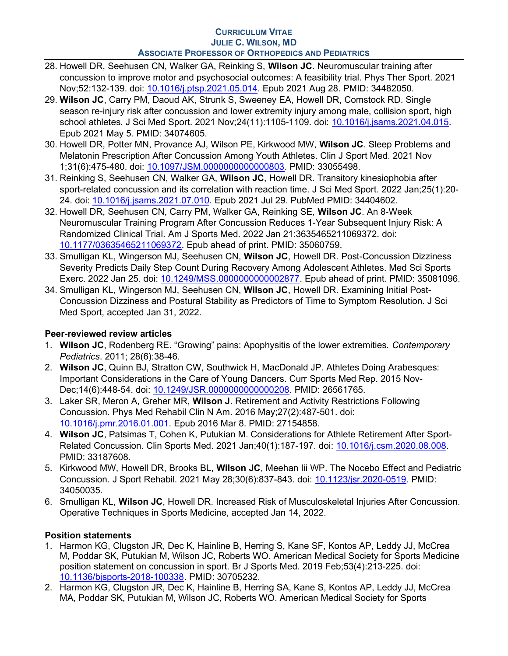- 28. Howell DR, Seehusen CN, Walker GA, Reinking S, Wilson JC. Neuromuscular training after concussion to improve motor and psychosocial outcomes: A feasibility trial. Phys Ther Sport. 2021 Nov;52:132-139. doi: 10.1016/j.ptsp.2021.05.014. Epub 2021 Aug 28. PMID: 34482050.
- 29. Wilson JC, Carry PM, Daoud AK, Strunk S, Sweeney EA, Howell DR, Comstock RD. Single season re-injury risk after concussion and lower extremity injury among male, collision sport, high school athletes. J Sci Med Sport. 2021 Nov;24(11):1105-1109. doi: 10.1016/j.jsams.2021.04.015. Epub 2021 May 5. PMID: 34074605.
- 30. Howell DR, Potter MN, Provance AJ, Wilson PE, Kirkwood MW, Wilson JC. Sleep Problems and Melatonin Prescription After Concussion Among Youth Athletes. Clin J Sport Med. 2021 Nov 1;31(6):475-480. doi: 10.1097/JSM.0000000000000803. PMID: 33055498.
- 31. Reinking S, Seehusen CN, Walker GA, Wilson JC, Howell DR. Transitory kinesiophobia after sport-related concussion and its correlation with reaction time. J Sci Med Sport. 2022 Jan;25(1):20- 24. doi: 10.1016/j.jsams.2021.07.010. Epub 2021 Jul 29. PubMed PMID: 34404602.
- 32. Howell DR, Seehusen CN, Carry PM, Walker GA, Reinking SE, Wilson JC. An 8-Week Neuromuscular Training Program After Concussion Reduces 1-Year Subsequent Injury Risk: A Randomized Clinical Trial. Am J Sports Med. 2022 Jan 21:3635465211069372. doi: 10.1177/03635465211069372. Epub ahead of print. PMID: 35060759.
- 33. Smulligan KL, Wingerson MJ, Seehusen CN, Wilson JC, Howell DR. Post-Concussion Dizziness Severity Predicts Daily Step Count During Recovery Among Adolescent Athletes. Med Sci Sports Exerc. 2022 Jan 25. doi: 10.1249/MSS.0000000000002877. Epub ahead of print. PMID: 35081096.
- 34. Smulligan KL, Wingerson MJ, Seehusen CN, Wilson JC, Howell DR. Examining Initial Post-Concussion Dizziness and Postural Stability as Predictors of Time to Symptom Resolution. J Sci Med Sport, accepted Jan 31, 2022.

# Peer-reviewed review articles

- 1. Wilson JC, Rodenberg RE. "Growing" pains: Apophysitis of the lower extremities. Contemporary Pediatrics. 2011; 28(6):38-46.
- 2. Wilson JC, Quinn BJ, Stratton CW, Southwick H, MacDonald JP. Athletes Doing Arabesques: Important Considerations in the Care of Young Dancers. Curr Sports Med Rep. 2015 Nov-Dec;14(6):448-54. doi: 10.1249/JSR.0000000000000208. PMID: 26561765.
- 3. Laker SR, Meron A, Greher MR, Wilson J. Retirement and Activity Restrictions Following Concussion. Phys Med Rehabil Clin N Am. 2016 May;27(2):487-501. doi: 10.1016/j.pmr.2016.01.001. Epub 2016 Mar 8. PMID: 27154858.
- 4. Wilson JC, Patsimas T, Cohen K, Putukian M. Considerations for Athlete Retirement After Sport-Related Concussion. Clin Sports Med. 2021 Jan;40(1):187-197. doi: 10.1016/j.csm.2020.08.008. PMID: 33187608.
- 5. Kirkwood MW, Howell DR, Brooks BL, Wilson JC, Meehan Iii WP. The Nocebo Effect and Pediatric Concussion. J Sport Rehabil. 2021 May 28;30(6):837-843. doi: 10.1123/jsr.2020-0519. PMID: 34050035.
- 6. Smulligan KL, Wilson JC, Howell DR. Increased Risk of Musculoskeletal Injuries After Concussion. Operative Techniques in Sports Medicine, accepted Jan 14, 2022.

# Position statements

- 1. Harmon KG, Clugston JR, Dec K, Hainline B, Herring S, Kane SF, Kontos AP, Leddy JJ, McCrea M, Poddar SK, Putukian M, Wilson JC, Roberts WO. American Medical Society for Sports Medicine position statement on concussion in sport. Br J Sports Med. 2019 Feb;53(4):213-225. doi: 10.1136/bjsports-2018-100338. PMID: 30705232.
- 2. Harmon KG, Clugston JR, Dec K, Hainline B, Herring SA, Kane S, Kontos AP, Leddy JJ, McCrea MA, Poddar SK, Putukian M, Wilson JC, Roberts WO. American Medical Society for Sports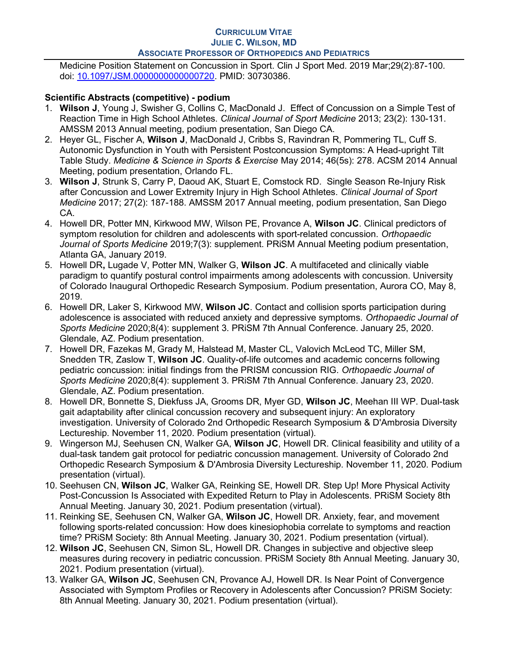Medicine Position Statement on Concussion in Sport. Clin J Sport Med. 2019 Mar;29(2):87-100. doi: 10.1097/JSM.0000000000000720. PMID: 30730386.

# Scientific Abstracts (competitive) - podium

- 1. Wilson J, Young J, Swisher G, Collins C, MacDonald J. Effect of Concussion on a Simple Test of Reaction Time in High School Athletes. Clinical Journal of Sport Medicine 2013; 23(2): 130-131. AMSSM 2013 Annual meeting, podium presentation, San Diego CA.
- 2. Heyer GL, Fischer A, Wilson J, MacDonald J, Cribbs S, Ravindran R, Pommering TL, Cuff S. Autonomic Dysfunction in Youth with Persistent Postconcussion Symptoms: A Head-upright Tilt Table Study. Medicine & Science in Sports & Exercise May 2014; 46(5s): 278. ACSM 2014 Annual Meeting, podium presentation, Orlando FL.
- 3. Wilson J, Strunk S, Carry P, Daoud AK, Stuart E, Comstock RD. Single Season Re-Injury Risk after Concussion and Lower Extremity Injury in High School Athletes. Clinical Journal of Sport Medicine 2017; 27(2): 187-188. AMSSM 2017 Annual meeting, podium presentation, San Diego CA.
- 4. Howell DR, Potter MN, Kirkwood MW, Wilson PE, Provance A, Wilson JC. Clinical predictors of symptom resolution for children and adolescents with sport-related concussion. Orthopaedic Journal of Sports Medicine 2019;7(3): supplement. PRISM Annual Meeting podium presentation, Atlanta GA, January 2019.
- 5. Howell DR, Lugade V, Potter MN, Walker G, Wilson JC. A multifaceted and clinically viable paradigm to quantify postural control impairments among adolescents with concussion. University of Colorado Inaugural Orthopedic Research Symposium. Podium presentation, Aurora CO, May 8, 2019.
- 6. Howell DR, Laker S, Kirkwood MW, Wilson JC. Contact and collision sports participation during adolescence is associated with reduced anxiety and depressive symptoms. Orthopaedic Journal of Sports Medicine 2020;8(4): supplement 3. PRiSM 7th Annual Conference. January 25, 2020. Glendale, AZ. Podium presentation.
- 7. Howell DR, Fazekas M, Grady M, Halstead M, Master CL, Valovich McLeod TC, Miller SM, Snedden TR, Zaslow T, Wilson JC. Quality-of-life outcomes and academic concerns following pediatric concussion: initial findings from the PRISM concussion RIG. Orthopaedic Journal of Sports Medicine 2020;8(4): supplement 3. PRiSM 7th Annual Conference. January 23, 2020. Glendale, AZ. Podium presentation.
- 8. Howell DR, Bonnette S, Diekfuss JA, Grooms DR, Myer GD, Wilson JC, Meehan III WP. Dual-task gait adaptability after clinical concussion recovery and subsequent injury: An exploratory investigation. University of Colorado 2nd Orthopedic Research Symposium & D'Ambrosia Diversity Lectureship. November 11, 2020. Podium presentation (virtual).
- 9. Wingerson MJ, Seehusen CN, Walker GA, Wilson JC, Howell DR, Clinical feasibility and utility of a dual-task tandem gait protocol for pediatric concussion management. University of Colorado 2nd Orthopedic Research Symposium & D'Ambrosia Diversity Lectureship. November 11, 2020. Podium presentation (virtual).
- 10. Seehusen CN, Wilson JC, Walker GA, Reinking SE, Howell DR. Step Up! More Physical Activity Post-Concussion Is Associated with Expedited Return to Play in Adolescents. PRiSM Society 8th Annual Meeting. January 30, 2021. Podium presentation (virtual).
- 11. Reinking SE, Seehusen CN, Walker GA, Wilson JC, Howell DR. Anxiety, fear, and movement following sports-related concussion: How does kinesiophobia correlate to symptoms and reaction time? PRiSM Society: 8th Annual Meeting. January 30, 2021. Podium presentation (virtual).
- 12. Wilson JC, Seehusen CN, Simon SL, Howell DR. Changes in subjective and objective sleep measures during recovery in pediatric concussion. PRiSM Society 8th Annual Meeting. January 30, 2021. Podium presentation (virtual).
- 13. Walker GA, Wilson JC, Seehusen CN, Provance AJ, Howell DR, Is Near Point of Convergence Associated with Symptom Profiles or Recovery in Adolescents after Concussion? PRiSM Society: 8th Annual Meeting. January 30, 2021. Podium presentation (virtual).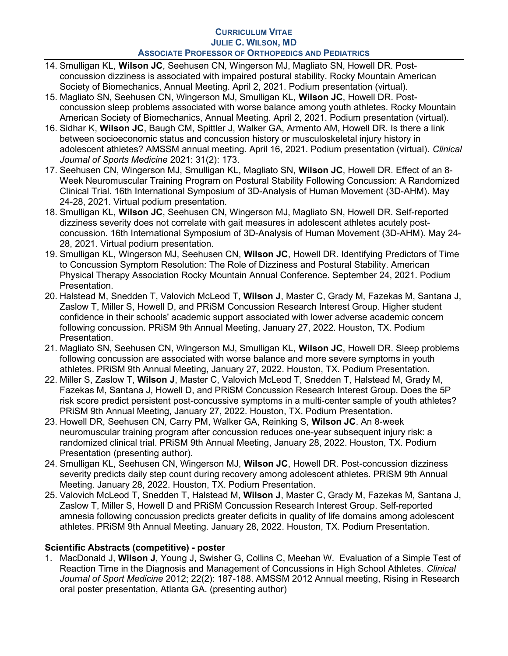- 14. Smulligan KL, Wilson JC, Seehusen CN, Wingerson MJ, Magliato SN, Howell DR. Postconcussion dizziness is associated with impaired postural stability. Rocky Mountain American Society of Biomechanics, Annual Meeting. April 2, 2021. Podium presentation (virtual).
- 15. Magliato SN, Seehusen CN, Wingerson MJ, Smulligan KL, Wilson JC, Howell DR. Postconcussion sleep problems associated with worse balance among youth athletes. Rocky Mountain American Society of Biomechanics, Annual Meeting. April 2, 2021. Podium presentation (virtual).
- 16. Sidhar K, Wilson JC, Baugh CM, Spittler J, Walker GA, Armento AM, Howell DR. Is there a link between socioeconomic status and concussion history or musculoskeletal injury history in adolescent athletes? AMSSM annual meeting. April 16, 2021. Podium presentation (virtual). Clinical Journal of Sports Medicine 2021: 31(2): 173.
- 17. Seehusen CN, Wingerson MJ, Smulligan KL, Magliato SN, Wilson JC, Howell DR. Effect of an 8-Week Neuromuscular Training Program on Postural Stability Following Concussion: A Randomized Clinical Trial. 16th International Symposium of 3D-Analysis of Human Movement (3D-AHM). May 24-28, 2021. Virtual podium presentation.
- 18. Smulligan KL, Wilson JC, Seehusen CN, Wingerson MJ, Magliato SN, Howell DR. Self-reported dizziness severity does not correlate with gait measures in adolescent athletes acutely postconcussion. 16th International Symposium of 3D-Analysis of Human Movement (3D-AHM). May 24- 28, 2021. Virtual podium presentation.
- 19. Smulligan KL, Wingerson MJ, Seehusen CN, Wilson JC, Howell DR. Identifying Predictors of Time to Concussion Symptom Resolution: The Role of Dizziness and Postural Stability. American Physical Therapy Association Rocky Mountain Annual Conference. September 24, 2021. Podium Presentation.
- 20. Halstead M, Snedden T, Valovich McLeod T, Wilson J, Master C, Grady M, Fazekas M, Santana J, Zaslow T, Miller S, Howell D, and PRiSM Concussion Research Interest Group. Higher student confidence in their schools' academic support associated with lower adverse academic concern following concussion. PRiSM 9th Annual Meeting, January 27, 2022. Houston, TX. Podium Presentation.
- 21. Magliato SN, Seehusen CN, Wingerson MJ, Smulligan KL, Wilson JC, Howell DR. Sleep problems following concussion are associated with worse balance and more severe symptoms in youth athletes. PRiSM 9th Annual Meeting, January 27, 2022. Houston, TX. Podium Presentation.
- 22. Miller S, Zaslow T, Wilson J, Master C, Valovich McLeod T, Snedden T, Halstead M, Grady M, Fazekas M, Santana J, Howell D, and PRiSM Concussion Research Interest Group. Does the 5P risk score predict persistent post-concussive symptoms in a multi-center sample of youth athletes? PRiSM 9th Annual Meeting, January 27, 2022. Houston, TX. Podium Presentation.
- 23. Howell DR, Seehusen CN, Carry PM, Walker GA, Reinking S, Wilson JC. An 8-week neuromuscular training program after concussion reduces one-year subsequent injury risk: a randomized clinical trial. PRiSM 9th Annual Meeting, January 28, 2022. Houston, TX. Podium Presentation (presenting author).
- 24. Smulligan KL, Seehusen CN, Wingerson MJ, Wilson JC, Howell DR. Post-concussion dizziness severity predicts daily step count during recovery among adolescent athletes. PRISM 9th Annual Meeting. January 28, 2022. Houston, TX. Podium Presentation.
- 25. Valovich McLeod T, Snedden T, Halstead M, Wilson J, Master C, Grady M, Fazekas M, Santana J, Zaslow T, Miller S, Howell D and PRiSM Concussion Research Interest Group. Self-reported amnesia following concussion predicts greater deficits in quality of life domains among adolescent athletes. PRiSM 9th Annual Meeting. January 28, 2022. Houston, TX. Podium Presentation.

# Scientific Abstracts (competitive) - poster

1. MacDonald J, Wilson J, Young J, Swisher G, Collins C, Meehan W. Evaluation of a Simple Test of Reaction Time in the Diagnosis and Management of Concussions in High School Athletes. Clinical Journal of Sport Medicine 2012; 22(2): 187-188. AMSSM 2012 Annual meeting, Rising in Research oral poster presentation, Atlanta GA. (presenting author)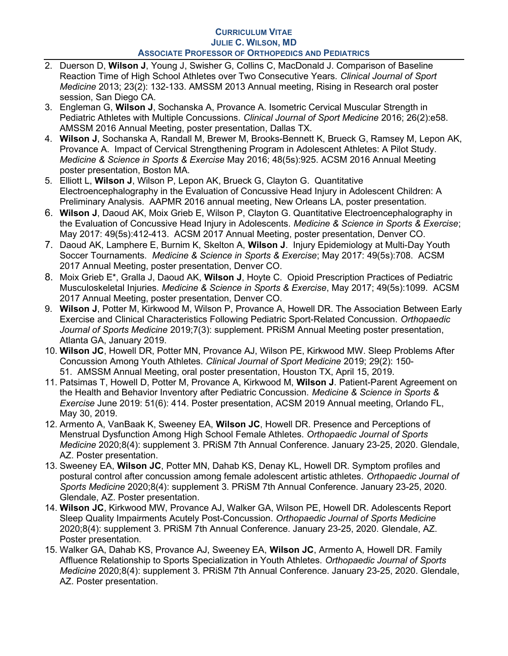- 2. Duerson D, Wilson J, Young J, Swisher G, Collins C, MacDonald J. Comparison of Baseline Reaction Time of High School Athletes over Two Consecutive Years. Clinical Journal of Sport Medicine 2013; 23(2): 132-133. AMSSM 2013 Annual meeting, Rising in Research oral poster session, San Diego CA.
- 3. Engleman G, Wilson J, Sochanska A, Provance A. Isometric Cervical Muscular Strength in Pediatric Athletes with Multiple Concussions. Clinical Journal of Sport Medicine 2016; 26(2):e58. AMSSM 2016 Annual Meeting, poster presentation, Dallas TX.
- 4. Wilson J, Sochanska A, Randall M, Brewer M, Brooks-Bennett K, Brueck G, Ramsey M, Lepon AK, Provance A. Impact of Cervical Strengthening Program in Adolescent Athletes: A Pilot Study. Medicine & Science in Sports & Exercise May 2016; 48(5s):925. ACSM 2016 Annual Meeting poster presentation, Boston MA.
- 5. Elliott L, Wilson J, Wilson P, Lepon AK, Brueck G, Clayton G. Quantitative Electroencephalography in the Evaluation of Concussive Head Injury in Adolescent Children: A Preliminary Analysis. AAPMR 2016 annual meeting, New Orleans LA, poster presentation.
- 6. Wilson J, Daoud AK, Moix Grieb E, Wilson P, Clayton G. Quantitative Electroencephalography in the Evaluation of Concussive Head Injury in Adolescents. Medicine & Science in Sports & Exercise; May 2017: 49(5s):412-413. ACSM 2017 Annual Meeting, poster presentation, Denver CO.
- 7. Daoud AK, Lamphere E, Burnim K, Skelton A, Wilson J. Injury Epidemiology at Multi-Day Youth Soccer Tournaments. Medicine & Science in Sports & Exercise; May 2017: 49(5s):708. ACSM 2017 Annual Meeting, poster presentation, Denver CO.
- 8. Moix Grieb E<sup>\*</sup>, Gralla J, Daoud AK, **Wilson J**, Hoyte C. Opioid Prescription Practices of Pediatric Musculoskeletal Injuries. Medicine & Science in Sports & Exercise, May 2017; 49(5s):1099. ACSM 2017 Annual Meeting, poster presentation, Denver CO.
- 9. Wilson J, Potter M, Kirkwood M, Wilson P, Provance A, Howell DR. The Association Between Early Exercise and Clinical Characteristics Following Pediatric Sport-Related Concussion. Orthopaedic Journal of Sports Medicine 2019:7(3): supplement. PRISM Annual Meeting poster presentation, Atlanta GA, January 2019.
- 10. Wilson JC, Howell DR, Potter MN, Provance AJ, Wilson PE, Kirkwood MW. Sleep Problems After Concussion Among Youth Athletes. Clinical Journal of Sport Medicine 2019; 29(2): 150- 51. AMSSM Annual Meeting, oral poster presentation, Houston TX, April 15, 2019.
- 11. Patsimas T, Howell D, Potter M, Provance A, Kirkwood M, Wilson J. Patient-Parent Agreement on the Health and Behavior Inventory after Pediatric Concussion. Medicine & Science in Sports & Exercise June 2019: 51(6): 414. Poster presentation, ACSM 2019 Annual meeting, Orlando FL, May 30, 2019.
- 12. Armento A, VanBaak K, Sweeney EA, Wilson JC, Howell DR. Presence and Perceptions of Menstrual Dysfunction Among High School Female Athletes. Orthopaedic Journal of Sports Medicine 2020;8(4): supplement 3. PRiSM 7th Annual Conference. January 23-25, 2020. Glendale, AZ. Poster presentation.
- 13. Sweeney EA, Wilson JC, Potter MN, Dahab KS, Denay KL, Howell DR. Symptom profiles and postural control after concussion among female adolescent artistic athletes. Orthopaedic Journal of Sports Medicine 2020;8(4): supplement 3. PRiSM 7th Annual Conference. January 23-25, 2020. Glendale, AZ. Poster presentation.
- 14. Wilson JC, Kirkwood MW, Provance AJ, Walker GA, Wilson PE, Howell DR. Adolescents Report Sleep Quality Impairments Acutely Post-Concussion. Orthopaedic Journal of Sports Medicine 2020;8(4): supplement 3. PRiSM 7th Annual Conference. January 23-25, 2020. Glendale, AZ. Poster presentation.
- 15. Walker GA, Dahab KS, Provance AJ, Sweeney EA, Wilson JC, Armento A, Howell DR. Family Affluence Relationship to Sports Specialization in Youth Athletes. Orthopaedic Journal of Sports Medicine 2020;8(4): supplement 3. PRiSM 7th Annual Conference. January 23-25, 2020. Glendale, AZ. Poster presentation.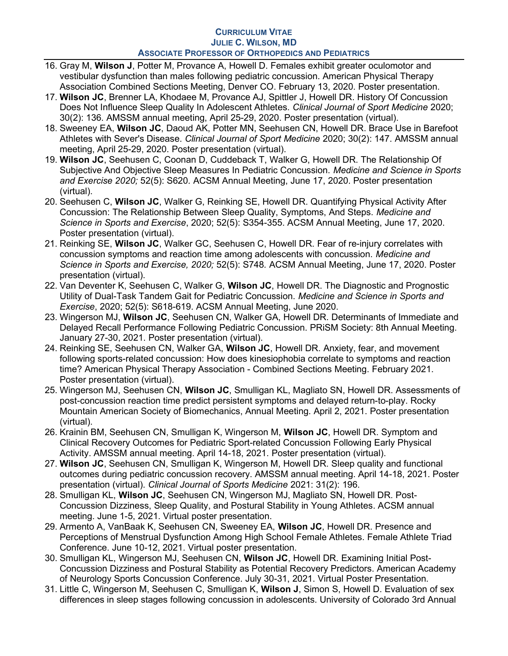- 16. Gray M, Wilson J, Potter M, Provance A, Howell D. Females exhibit greater oculomotor and vestibular dysfunction than males following pediatric concussion. American Physical Therapy Association Combined Sections Meeting, Denver CO. February 13, 2020. Poster presentation.
- 17. Wilson JC, Brenner LA, Khodaee M, Provance AJ, Spittler J, Howell DR. History Of Concussion Does Not Influence Sleep Quality In Adolescent Athletes. Clinical Journal of Sport Medicine 2020; 30(2): 136. AMSSM annual meeting, April 25-29, 2020. Poster presentation (virtual).
- 18. Sweeney EA, Wilson JC, Daoud AK, Potter MN, Seehusen CN, Howell DR. Brace Use in Barefoot Athletes with Sever's Disease. Clinical Journal of Sport Medicine 2020; 30(2): 147. AMSSM annual meeting, April 25-29, 2020. Poster presentation (virtual).
- 19. Wilson JC, Seehusen C, Coonan D, Cuddeback T, Walker G, Howell DR. The Relationship Of Subjective And Objective Sleep Measures In Pediatric Concussion. Medicine and Science in Sports and Exercise 2020; 52(5): S620. ACSM Annual Meeting, June 17, 2020. Poster presentation (virtual).
- 20. Seehusen C, Wilson JC, Walker G, Reinking SE, Howell DR. Quantifying Physical Activity After Concussion: The Relationship Between Sleep Quality, Symptoms, And Steps. Medicine and Science in Sports and Exercise, 2020; 52(5): S354-355. ACSM Annual Meeting, June 17, 2020. Poster presentation (virtual).
- 21. Reinking SE, Wilson JC, Walker GC, Seehusen C, Howell DR. Fear of re-injury correlates with concussion symptoms and reaction time among adolescents with concussion. Medicine and Science in Sports and Exercise, 2020; 52(5): S748. ACSM Annual Meeting, June 17, 2020. Poster presentation (virtual).
- 22. Van Deventer K, Seehusen C, Walker G, Wilson JC, Howell DR. The Diagnostic and Prognostic Utility of Dual-Task Tandem Gait for Pediatric Concussion. Medicine and Science in Sports and Exercise, 2020; 52(5): S618-619. ACSM Annual Meeting, June 2020.
- 23. Wingerson MJ, Wilson JC, Seehusen CN, Walker GA, Howell DR. Determinants of Immediate and Delayed Recall Performance Following Pediatric Concussion. PRiSM Society: 8th Annual Meeting. January 27-30, 2021. Poster presentation (virtual).
- 24. Reinking SE, Seehusen CN, Walker GA, Wilson JC, Howell DR. Anxiety, fear, and movement following sports-related concussion: How does kinesiophobia correlate to symptoms and reaction time? American Physical Therapy Association - Combined Sections Meeting. February 2021. Poster presentation (virtual).
- 25. Wingerson MJ, Seehusen CN, Wilson JC, Smulligan KL, Magliato SN, Howell DR. Assessments of post-concussion reaction time predict persistent symptoms and delayed return-to-play. Rocky Mountain American Society of Biomechanics, Annual Meeting. April 2, 2021. Poster presentation (virtual).
- 26. Krainin BM, Seehusen CN, Smulligan K, Wingerson M, Wilson JC, Howell DR. Symptom and Clinical Recovery Outcomes for Pediatric Sport-related Concussion Following Early Physical Activity. AMSSM annual meeting. April 14-18, 2021. Poster presentation (virtual).
- 27. Wilson JC, Seehusen CN, Smulligan K, Wingerson M, Howell DR. Sleep quality and functional outcomes during pediatric concussion recovery. AMSSM annual meeting. April 14-18, 2021. Poster presentation (virtual). Clinical Journal of Sports Medicine 2021: 31(2): 196.
- 28. Smulligan KL, Wilson JC, Seehusen CN, Wingerson MJ, Magliato SN, Howell DR. Post-Concussion Dizziness, Sleep Quality, and Postural Stability in Young Athletes. ACSM annual meeting. June 1-5, 2021. Virtual poster presentation.
- 29. Armento A, VanBaak K, Seehusen CN, Sweeney EA, Wilson JC, Howell DR. Presence and Perceptions of Menstrual Dysfunction Among High School Female Athletes. Female Athlete Triad Conference. June 10-12, 2021. Virtual poster presentation.
- 30. Smulligan KL, Wingerson MJ, Seehusen CN, Wilson JC, Howell DR. Examining Initial Post-Concussion Dizziness and Postural Stability as Potential Recovery Predictors. American Academy of Neurology Sports Concussion Conference. July 30-31, 2021. Virtual Poster Presentation.
- 31. Little C, Wingerson M, Seehusen C, Smulligan K, Wilson J, Simon S, Howell D. Evaluation of sex differences in sleep stages following concussion in adolescents. University of Colorado 3rd Annual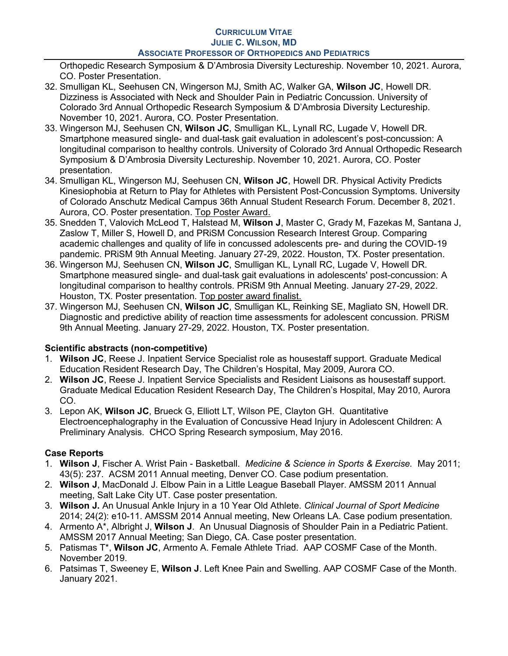Orthopedic Research Symposium & D'Ambrosia Diversity Lectureship. November 10, 2021. Aurora, CO. Poster Presentation.

- 32. Smulligan KL, Seehusen CN, Wingerson MJ, Smith AC, Walker GA, Wilson JC, Howell DR. Dizziness is Associated with Neck and Shoulder Pain in Pediatric Concussion. University of Colorado 3rd Annual Orthopedic Research Symposium & D'Ambrosia Diversity Lectureship. November 10, 2021. Aurora, CO. Poster Presentation.
- 33. Wingerson MJ, Seehusen CN, Wilson JC, Smulligan KL, Lynall RC, Lugade V, Howell DR. Smartphone measured single- and dual-task gait evaluation in adolescent's post-concussion: A longitudinal comparison to healthy controls. University of Colorado 3rd Annual Orthopedic Research Symposium & D'Ambrosia Diversity Lectureship. November 10, 2021. Aurora, CO. Poster presentation.
- 34. Smulligan KL, Wingerson MJ, Seehusen CN, Wilson JC, Howell DR. Physical Activity Predicts Kinesiophobia at Return to Play for Athletes with Persistent Post-Concussion Symptoms. University of Colorado Anschutz Medical Campus 36th Annual Student Research Forum. December 8, 2021. Aurora, CO. Poster presentation. Top Poster Award.
- 35. Snedden T, Valovich McLeod T, Halstead M, Wilson J, Master C, Grady M, Fazekas M, Santana J, Zaslow T, Miller S, Howell D, and PRiSM Concussion Research Interest Group. Comparing academic challenges and quality of life in concussed adolescents pre- and during the COVID-19 pandemic. PRiSM 9th Annual Meeting. January 27-29, 2022. Houston, TX. Poster presentation.
- 36. Wingerson MJ, Seehusen CN, Wilson JC, Smulligan KL, Lynall RC, Lugade V, Howell DR. Smartphone measured single- and dual-task gait evaluations in adolescents' post-concussion: A longitudinal comparison to healthy controls. PRiSM 9th Annual Meeting. January 27-29, 2022. Houston, TX. Poster presentation. Top poster award finalist.
- 37. Wingerson MJ, Seehusen CN, Wilson JC, Smulligan KL, Reinking SE, Magliato SN, Howell DR. Diagnostic and predictive ability of reaction time assessments for adolescent concussion. PRiSM 9th Annual Meeting. January 27-29, 2022. Houston, TX. Poster presentation.

# Scientific abstracts (non-competitive)

- 1. Wilson JC, Reese J. Inpatient Service Specialist role as housestaff support. Graduate Medical Education Resident Research Day, The Children's Hospital, May 2009, Aurora CO.
- 2. Wilson JC, Reese J. Inpatient Service Specialists and Resident Liaisons as housestaff support. Graduate Medical Education Resident Research Day, The Children's Hospital, May 2010, Aurora CO.
- 3. Lepon AK, Wilson JC, Brueck G, Elliott LT, Wilson PE, Clayton GH. Quantitative Electroencephalography in the Evaluation of Concussive Head Injury in Adolescent Children: A Preliminary Analysis. CHCO Spring Research symposium, May 2016.

# Case Reports

- 1. Wilson J, Fischer A. Wrist Pain Basketball. *Medicine & Science in Sports & Exercise.* May 2011; 43(5): 237. ACSM 2011 Annual meeting, Denver CO. Case podium presentation.
- 2. Wilson J, MacDonald J. Elbow Pain in a Little League Baseball Player. AMSSM 2011 Annual meeting, Salt Lake City UT. Case poster presentation.
- 3. Wilson J. An Unusual Ankle Injury in a 10 Year Old Athlete. Clinical Journal of Sport Medicine 2014; 24(2): e10-11. AMSSM 2014 Annual meeting, New Orleans LA. Case podium presentation.
- 4. Armento A\*, Albright J, Wilson J. An Unusual Diagnosis of Shoulder Pain in a Pediatric Patient. AMSSM 2017 Annual Meeting; San Diego, CA. Case poster presentation.
- 5. Patismas T\*, Wilson JC, Armento A. Female Athlete Triad. AAP COSMF Case of the Month. November 2019.
- 6. Patsimas T, Sweeney E, Wilson J. Left Knee Pain and Swelling. AAP COSMF Case of the Month. January 2021.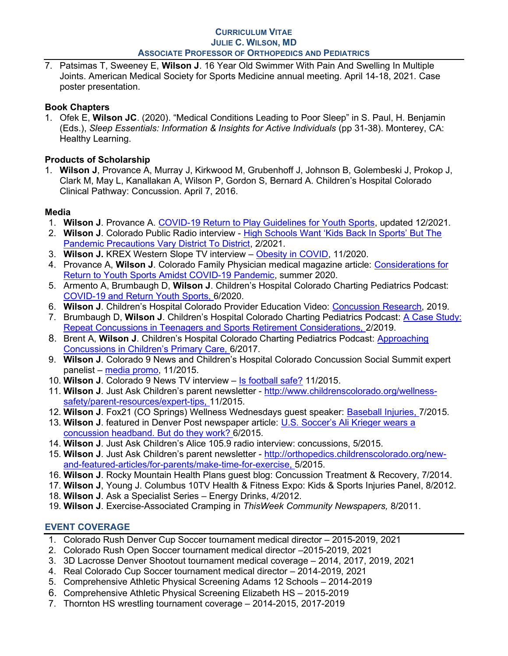7. Patsimas T, Sweeney E, Wilson J. 16 Year Old Swimmer With Pain And Swelling In Multiple Joints. American Medical Society for Sports Medicine annual meeting. April 14-18, 2021. Case poster presentation.

# Book Chapters

1. Ofek E, Wilson JC. (2020). "Medical Conditions Leading to Poor Sleep" in S. Paul, H. Benjamin (Eds.), Sleep Essentials: Information & Insights for Active Individuals (pp 31-38). Monterey, CA: Healthy Learning.

# Products of Scholarship

1. Wilson J, Provance A, Murray J, Kirkwood M, Grubenhoff J, Johnson B, Golembeski J, Prokop J, Clark M, May L, Kanallakan A, Wilson P, Gordon S, Bernard A. Children's Hospital Colorado Clinical Pathway: Concussion. April 7, 2016.

# Media

- 1. Wilson J. Provance A. COVID-19 Return to Play Guidelines for Youth Sports, updated 12/2021.
- 2. Wilson J. Colorado Public Radio interview High Schools Want 'Kids Back In Sports' But The Pandemic Precautions Vary District To District, 2/2021.
- 3. Wilson J. KREX Western Slope TV interview Obesity in COVID, 11/2020.
- 4. Provance A, Wilson J. Colorado Family Physician medical magazine article: Considerations for Return to Youth Sports Amidst COVID-19 Pandemic, summer 2020.
- 5. Armento A, Brumbaugh D, Wilson J. Children's Hospital Colorado Charting Pediatrics Podcast: COVID-19 and Return Youth Sports, 6/2020.
- 6. Wilson J. Children's Hospital Colorado Provider Education Video: Concussion Research, 2019.
- 7. Brumbaugh D, Wilson J. Children's Hospital Colorado Charting Pediatrics Podcast: A Case Study: Repeat Concussions in Teenagers and Sports Retirement Considerations, 2/2019.
- 8. Brent A, Wilson J. Children's Hospital Colorado Charting Pediatrics Podcast: Approaching Concussions in Children's Primary Care, 6/2017.
- 9. Wilson J. Colorado 9 News and Children's Hospital Colorado Concussion Social Summit expert panelist – media promo, 11/2015.
- 10. Wilson J. Colorado 9 News TV interview Is football safe? 11/2015.
- 11. Wilson J. Just Ask Children's parent newsletter http://www.childrenscolorado.org/wellnesssafety/parent-resources/expert-tips, 11/2015.
- 12. Wilson J. Fox21 (CO Springs) Wellness Wednesdays quest speaker: Baseball Injuries, 7/2015.
- 13. Wilson J. featured in Denver Post newspaper article: U.S. Soccer's Ali Krieger wears a concussion headband. But do they work? 6/2015.
- 14. Wilson J. Just Ask Children's Alice 105.9 radio interview: concussions, 5/2015.
- 15. Wilson J. Just Ask Children's parent newsletter http://orthopedics.childrenscolorado.org/newand-featured-articles/for-parents/make-time-for-exercise, 5/2015.
- 16. Wilson J. Rocky Mountain Health Plans guest blog: Concussion Treatment & Recovery, 7/2014.
- 17. Wilson J, Young J. Columbus 10TV Health & Fitness Expo: Kids & Sports Injuries Panel, 8/2012.
- 18. Wilson J. Ask a Specialist Series Energy Drinks, 4/2012.
- 19. Wilson J. Exercise-Associated Cramping in ThisWeek Community Newspapers, 8/2011.

# EVENT COVERAGE

- 1. Colorado Rush Denver Cup Soccer tournament medical director 2015-2019, 2021
- 2. Colorado Rush Open Soccer tournament medical director –2015-2019, 2021
- 3. 3D Lacrosse Denver Shootout tournament medical coverage 2014, 2017, 2019, 2021
- 4. Real Colorado Cup Soccer tournament medical director 2014-2019, 2021
- 5. Comprehensive Athletic Physical Screening Adams 12 Schools 2014-2019
- 6. Comprehensive Athletic Physical Screening Elizabeth HS 2015-2019
- 7. Thornton HS wrestling tournament coverage 2014-2015, 2017-2019